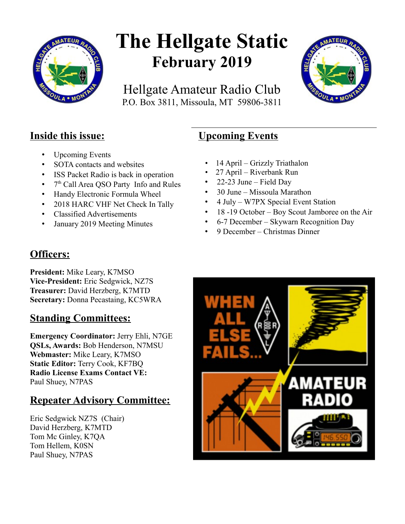

# **The Hellgate Static February 2019**

Hellgate Amateur Radio Club P.O. Box 3811, Missoula, MT 59806-3811



## **Inside this issue:**

- Upcoming Events
- SOTA contacts and websites
- ISS Packet Radio is back in operation
- 7<sup>th</sup> Call Area QSO Party Info and Rules
- Handy Electronic Formula Wheel
- 2018 HARC VHF Net Check In Tally
- Classified Advertisements
- January 2019 Meeting Minutes

# **Upcoming Events**

- 14 April Grizzly Triathalon
- 27 April Riverbank Run
- 22-23 June Field Day
- 30 June Missoula Marathon
- 4 July W7PX Special Event Station
- 18 -19 October Boy Scout Jamboree on the Air
- 6-7 December Skywarn Recognition Day
- 9 December Christmas Dinner

# **Officers:**

**President:** Mike Leary, K7MSO **Vice-President:** Eric Sedgwick, NZ7S **Treasurer:** David Herzberg, K7MTD **Secretary:** Donna Pecastaing, KC5WRA

# **Standing Committees:**

**Emergency Coordinator:** Jerry Ehli, N7GE **QSLs, Awards:** Bob Henderson, N7MSU **Webmaster:** Mike Leary, K7MSO **Static Editor:** Terry Cook, KF7BQ **Radio License Exams Contact VE:** Paul Shuey, N7PAS

# **Repeater Advisory Committee:**

Eric Sedgwick NZ7S (Chair) David Herzberg, K7MTD Tom Mc Ginley, K7QA Tom Hellem, K0SN Paul Shuey, N7PAS

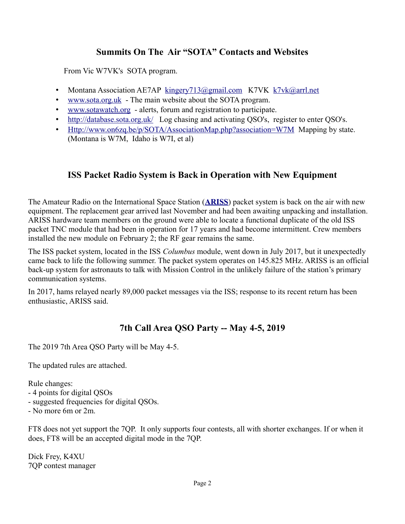## **Summits On The Air "SOTA" Contacts and Websites**

From Vic W7VK's SOTA program.

- Montana Association AE7AP [kingery713@gmail.com](mailto:kingery713@gmail.com) K7VK [k7vk@arrl.net](mailto:k7vk@arrl.net)
- [www.sota.org.uk](http://www.sota.org.uk/)  The main website about the SOTA program.
- [www.sotawatch.org](http://www.sotawatch.org/)  alerts, forum and registration to participate.
- <http://database.sota.org.uk/>Log chasing and activating QSO's, register to enter QSO's.
- [Http://www.on6zq.be/p/SOTA/AssociationMap.php?association=W7M](http://www.on6zq.be/p/SOTA/AssociationMap.php?association+W7M) Mapping by state. (Montana is W7M, Idaho is W7I, et al)

## **ISS Packet Radio System is Back in Operation with New Equipment**

The Amateur Radio on the International Space Station (**[ARISS](http://www.ariss.org/)**) packet system is back on the air with new equipment. The replacement gear arrived last November and had been awaiting unpacking and installation. ARISS hardware team members on the ground were able to locate a functional duplicate of the old ISS packet TNC module that had been in operation for 17 years and had become intermittent. Crew members installed the new module on February 2; the RF gear remains the same.

The ISS packet system, located in the ISS *Columbus* module, went down in July 2017, but it unexpectedly came back to life the following summer. The packet system operates on 145.825 MHz. ARISS is an official back-up system for astronauts to talk with Mission Control in the unlikely failure of the station's primary communication systems.

In 2017, hams relayed nearly 89,000 packet messages via the ISS; response to its recent return has been enthusiastic, ARISS said.

## **7th Call Area QSO Party -- May 4-5, 2019**

The 2019 7th Area QSO Party will be May 4-5.

The updated rules are attached.

Rule changes:

- 4 points for digital QSOs
- suggested frequencies for digital QSOs.
- No more 6m or 2m.

FT8 does not yet support the 7QP. It only supports four contests, all with shorter exchanges. If or when it does, FT8 will be an accepted digital mode in the 7QP.

Dick Frey, K4XU 7QP contest manager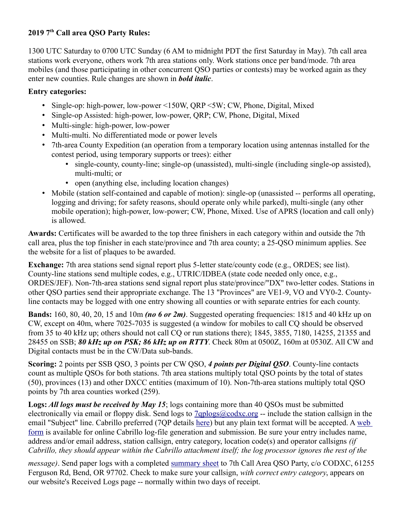### **2019 7th Call area QSO Party Rules:**

1300 UTC Saturday to 0700 UTC Sunday (6 AM to midnight PDT the first Saturday in May). 7th call area stations work everyone, others work 7th area stations only. Work stations once per band/mode. 7th area mobiles (and those participating in other concurrent QSO parties or contests) may be worked again as they enter new counties. Rule changes are shown in *bold italic*.

#### **Entry categories:**

- Single-op: high-power, low-power <150W, QRP <5W; CW, Phone, Digital, Mixed
- Single-op Assisted: high-power, low-power, QRP; CW, Phone, Digital, Mixed
- Multi-single: high-power, low-power
- Multi-multi. No differentiated mode or power levels
- 7th-area County Expedition (an operation from a temporary location using antennas installed for the contest period, using temporary supports or trees): either
	- single-county, county-line; single-op (unassisted), multi-single (including single-op assisted), multi-multi; or
	- open (anything else, including location changes)
- Mobile (station self-contained and capable of motion): single-op (unassisted -- performs all operating, logging and driving; for safety reasons, should operate only while parked), multi-single (any other mobile operation); high-power, low-power; CW, Phone, Mixed. Use of APRS (location and call only) is allowed.

**Awards:** Certificates will be awarded to the top three finishers in each category within and outside the 7th call area, plus the top finisher in each state/province and 7th area county; a 25-QSO minimum applies. See the website for a list of plaques to be awarded.

**Exchange:** 7th area stations send signal report plus 5-letter state/county code (e.g., ORDES; see list). County-line stations send multiple codes, e.g., UTRIC/IDBEA (state code needed only once, e.g., ORDES/JEF). Non-7th-area stations send signal report plus state/province/"DX" two-letter codes. Stations in other QSO parties send their appropriate exchange. The 13 "Provinces" are VE1-9, VO and VY0-2. Countyline contacts may be logged with one entry showing all counties or with separate entries for each county.

**Bands:** 160, 80, 40, 20, 15 and 10m *(no 6 or 2m)*. Suggested operating frequencies: 1815 and 40 kHz up on CW, except on 40m, where 7025-7035 is suggested (a window for mobiles to call CQ should be observed from 35 to 40 kHz up; others should not call CQ or run stations there); 1845, 3855, 7180, 14255, 21355 and 28455 on SSB; *80 kHz up on PSK; 86 kHz up on RTTY*. Check 80m at 0500Z, 160m at 0530Z. All CW and Digital contacts must be in the CW/Data sub-bands.

**Scoring:** 2 points per SSB QSO, 3 points per CW QSO, *4 points per Digital QSO*. County-line contacts count as multiple QSOs for both stations. 7th area stations multiply total QSO points by the total of states (50), provinces (13) and other DXCC entities (maximum of 10). Non-7th-area stations multiply total QSO points by 7th area counties worked (259).

**Logs:** *All logs must be received by May 15*; logs containing more than 40 QSOs must be submitted electronically via email or floppy disk. Send logs to [7qplogs@codxc.org](mailto:7qplogs@codxc.org) -- include the station callsign in the email "Subject" line. Cabrillo preferred (7QP details [here\)](http://www.codxc.org/new/Page.asp?content=7QPCABRILLO) but any plain text format will be accepted. A [web](http://www.b4h.net/cabforms/7qp_cab.php)  [form](http://www.b4h.net/cabforms/7qp_cab.php) is available for online Cabrillo log-file generation and submission. Be sure your entry includes name, address and/or email address, station callsign, entry category, location code(s) and operator callsigns *(if Cabrillo, they should appear within the Cabrillo attachment itself; the log processor ignores the rest of the* 

*message*). Send paper logs with a completed [summary sheet](http://www.codxc.org/new/7qp_smry.pdf) to 7th Call Area QSO Party, c/o CODXC, 61255 Ferguson Rd, Bend, OR 97702. Check to make sure your callsign, *with correct entry category*, appears on our website's Received Logs page -- normally within two days of receipt.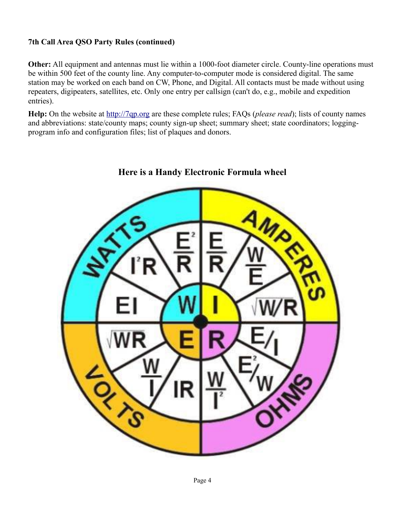#### **7th Call Area QSO Party Rules (continued)**

**Other:** All equipment and antennas must lie within a 1000-foot diameter circle. County-line operations must be within 500 feet of the county line. Any computer-to-computer mode is considered digital. The same station may be worked on each band on CW, Phone, and Digital. All contacts must be made without using repeaters, digipeaters, satellites, etc. Only one entry per callsign (can't do, e.g., mobile and expedition entries).

**Help:** On the website at [http://7qp.org](http://7qp.org/) are these complete rules; FAQs (*please read*); lists of county names and abbreviations: state/county maps; county sign-up sheet; summary sheet; state coordinators; loggingprogram info and configuration files; list of plaques and donors.



### **Here is a Handy Electronic Formula wheel**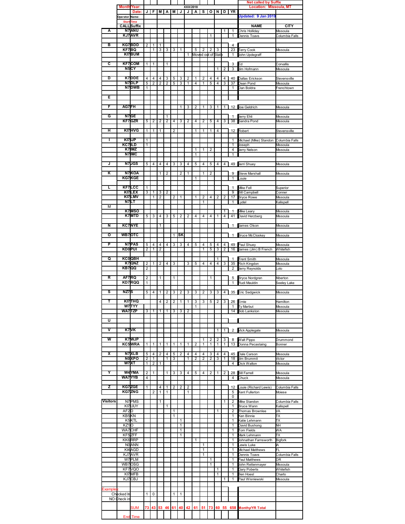|                         |                    |                       |                |                |                     |                     |                |        |                |           |                        |        |        |                | <b>Net called by Suffix</b><br><b>Location: Missoula, MT</b> |                                         |                          |
|-------------------------|--------------------|-----------------------|----------------|----------------|---------------------|---------------------|----------------|--------|----------------|-----------|------------------------|--------|--------|----------------|--------------------------------------------------------------|-----------------------------------------|--------------------------|
|                         | <b>Month/Year:</b> |                       | J              | F              | M                   | А                   | M              | J      | XXX/2018<br>J  |           | S                      | О      | N      | D              | YR                                                           |                                         |                          |
|                         | Operator Name:     | Date:                 |                |                |                     |                     |                |        |                | $\vert$ A |                        |        |        |                |                                                              | Updated: 9 Jan 2019                     |                          |
|                         | <b>Start</b>       | <b>Time</b>           |                |                |                     |                     |                |        |                |           |                        |        |        |                |                                                              |                                         |                          |
|                         |                    | <b>CALL</b> Suffix    |                |                |                     |                     |                |        |                |           |                        |        |        |                |                                                              | <b>NAME</b>                             | CITY                     |
| А                       |                    | <b>N7</b> ANU         |                |                |                     |                     |                |        |                |           |                        |        |        | 1              | 1                                                            | Chris Holliday                          | Missoula                 |
|                         |                    | <b>KJ7AVR</b>         |                |                |                     |                     |                |        |                |           |                        | 1      |        |                | 1                                                            | Dennis Toavs                            | Columbia Falls           |
|                         |                    |                       |                |                |                     |                     |                |        |                |           |                        |        |        |                |                                                              |                                         |                          |
| в                       | KF7BQ              | KG7BDD                | $\overline{2}$ | 1<br>1         | 1<br>3              | 3                   |                |        |                |           |                        |        |        |                | 4<br>23                                                      |                                         |                          |
|                         |                    | KI7BUM                |                |                |                     |                     | 3              | 1      | 1              | 5         | 2<br>Moved out of Stat | 2      | 3      |                | 1                                                            | <b>Terry Cook</b><br>John Updegraff     | Missoula                 |
|                         |                    |                       |                |                |                     |                     |                |        |                |           |                        |        |        |                |                                                              |                                         |                          |
| c                       |                    | <b>KF7COM</b>         | 1              | 1              |                     | 1                   |                |        |                |           |                        |        |        |                | 3                                                            | Ξd                                      | Corvallis                |
|                         |                    | N5CY                  |                |                |                     |                     |                |        |                |           |                        |        | 1      | 2              | 3                                                            | Jim Hofmann                             | Missoula                 |
|                         |                    |                       |                |                |                     |                     |                |        |                |           |                        |        |        |                |                                                              |                                         |                          |
| D                       |                    | K7DDE                 | 4              | 4              | 4                   | 3                   | 5              | 3      | 2              | 1         | 2                      | 4      | 4      | 4              | 40                                                           | Dallas Erickson                         | Stevensville             |
|                         |                    | N7DLP<br>N7DWB        | 5<br>1         | $\overline{2}$ | $\overline{2}$      | 2                   | 5              | 3      | 1              | 4         | 1                      | 5      | 4      | 3              | 37<br>1                                                      | Dean Pond<br>Dan Boldra                 | Missoula                 |
|                         |                    |                       |                |                |                     |                     |                |        |                |           |                        |        |        |                |                                                              |                                         | Frenchtown               |
| Е                       |                    |                       |                |                |                     |                     |                |        |                |           |                        |        |        |                |                                                              |                                         |                          |
|                         |                    |                       |                |                |                     |                     |                |        |                |           |                        |        |        |                |                                                              |                                         |                          |
| F                       | AG7FH              |                       |                |                |                     |                     |                | 1      | 3              | 2         | 1                      | 3      | 1      | 1              |                                                              | 12 Joe Geldrich                         | Missoula                 |
|                         |                    |                       |                |                |                     |                     |                |        |                |           |                        |        |        |                |                                                              |                                         |                          |
| G                       |                    | N7GE<br>KF7GZR        |                |                |                     | 1<br>$\overline{2}$ |                |        |                |           |                        |        |        |                | 1<br>38                                                      | Jerry Ehli                              | Missoula                 |
|                         |                    |                       | 5              | 2              | $\overline{2}$      |                     | 4              | 3      | $\overline{2}$ | 4         | 2                      | 5      | 4      | 3              |                                                              | Sandra Pond                             | Missoula                 |
| Η                       |                    | KI7HVG                | 1              | 1              | 1                   |                     | $\overline{2}$ |        |                | 1         | 1                      | 1      | 4      |                |                                                              | 12 Robert                               | Stevensville             |
|                         |                    |                       |                |                |                     |                     |                |        |                |           |                        |        |        |                |                                                              |                                         |                          |
| I                       |                    | KI7IJP                | 1              |                |                     |                     |                |        |                |           |                        |        |        |                | 1                                                            | Michael (Mike) Standon Columbia Falls   |                          |
|                         | KC7ILD             |                       | $\overline{1}$ |                |                     |                     |                |        |                |           |                        |        |        |                | 1                                                            | Joseph                                  | Missoula                 |
|                         |                    | K7 IMZ                |                |                |                     |                     |                |        |                | 1         | 1                      | 2      |        |                | 4                                                            | Jerry Nelson                            | Missoula                 |
|                         |                    | N7 IMC                |                |                |                     |                     |                |        |                | 1         |                        |        |        |                | 1                                                            |                                         |                          |
| J                       |                    | <b>N7JGS</b>          | 5              | 4              | 4                   | 4                   | 3              | 3      | $\overline{4}$ | 5         | 4                      | 5      | 4      | 4              |                                                              | 49 Jerri Shuey                          | Missoula                 |
|                         |                    |                       |                |                |                     |                     |                |        |                |           |                        |        |        |                |                                                              |                                         |                          |
| κ                       |                    | N7KOA                 |                |                | 1                   | 2                   |                | 2      | 1              |           | 1                      | 2      |        |                | 9                                                            | <b>Steve Marshall</b>                   | Missoula                 |
|                         |                    | KG7KGE                |                |                |                     |                     |                |        |                | 1         |                        |        |        |                | 1                                                            | ouie                                    |                          |
|                         |                    |                       |                |                |                     |                     |                |        |                |           |                        |        |        |                |                                                              |                                         |                          |
| L                       |                    | <b>KF7LCC</b>         | 1              |                |                     |                     |                |        |                |           |                        |        |        |                | 1                                                            | Mike Fell                               | Superior                 |
|                         |                    | KI7LEX<br>KI7LMV      | 3              | 1<br>1         | 3<br>$\overline{2}$ | 2                   | $\overline{2}$ | 1      |                | 1         | 2                      | 4      | 2      | 2              | 9<br>17                                                      | <b>Bill Campbell</b>                    | Conner<br>Missoula       |
|                         |                    | N7LT                  |                |                |                     |                     |                |        |                |           | 1                      |        |        |                | 1                                                            | <b>Bryce Rowe</b><br>ydel.              | <b>Kalispell</b>         |
| М                       |                    |                       |                |                |                     |                     |                |        |                |           |                        |        |        |                |                                                              |                                         |                          |
|                         |                    | K7MSO                 |                |                |                     |                     |                |        |                |           |                        |        |        | 1              | 1                                                            | Mike Leary                              | Missoula                 |
|                         |                    | K7MTD                 | 5              | 3              | 4                   | 3                   | 5              | 2      | $\overline{2}$ | 4         | 4                      | 4      | 1      | 4              | 41                                                           | David Herzberg                          | Missoula                 |
|                         |                    |                       |                |                |                     |                     |                |        |                |           |                        |        |        |                |                                                              |                                         |                          |
| N                       |                    | <b>KC7NYE</b>         |                |                | 1                   |                     |                |        |                |           |                        |        |        |                | $\mathbf{1}$                                                 | James Olson                             | Missoula                 |
| o                       |                    | WB7OTC                |                |                |                     |                     | 1              | SK     |                |           |                        |        |        |                | 1                                                            | <b>Bruce McCloskey</b>                  | Missoula                 |
|                         |                    |                       |                |                |                     |                     |                |        |                |           |                        |        |        |                |                                                              |                                         |                          |
| P                       |                    | N7PAS                 | 5              | 4              | 4                   | 4                   | 3              | 3      | 4              | 5         | 4                      | 5      | 4      | 4              | 49                                                           | Paul Shuey                              | Missoula                 |
|                         | <b>KDOPUI</b>      |                       | $\overline{2}$ | 1              | $\overline{2}$      |                     |                |        |                |           | 1                      | 5      | 3      | $\overline{2}$ | 16                                                           | James (Jim) B French                    | Whitefish                |
| Q                       |                    | <b>KCOOBH</b>         |                |                |                     |                     |                |        |                |           |                        |        |        |                |                                                              |                                         |                          |
|                         |                    | K7QNZ                 | $\overline{c}$ | 1              | 2                   | 4                   | 3              |        | 3              | 5         | 4                      | 4      | 1<br>4 | 3              | 1<br>35                                                      | <b>Trent Smith</b><br>Rich Kingdon      | Missoula<br>Missoula     |
|                         | KB7QQ              |                       | $\overline{2}$ |                |                     |                     |                |        |                |           |                        |        |        |                | 2                                                            | Jerry Reynolds                          | olo                      |
|                         |                    |                       |                |                |                     |                     |                |        |                |           |                        |        |        |                |                                                              |                                         |                          |
| R                       | AF7RQ              |                       | $\overline{2}$ |                | 1                   |                     | 1              |        |                |           |                        | 1      |        |                | 5                                                            | <b>Bryce Nordgren</b>                   | Alberton                 |
|                         |                    | KD7RQQ                | 1              |                |                     |                     |                |        |                |           |                        |        |        |                | 1                                                            | Rudi Mauldin                            | Seeley Lake              |
| s                       | NZ7 <sub>S</sub>   |                       | 5              | 4              | $\overline{1}$      |                     | 3              |        | 3              | 3         |                        | 3      | 3      |                |                                                              |                                         |                          |
|                         |                    |                       |                |                |                     | 2                   |                | 2      |                |           | 2                      |        |        | 4 <sup>1</sup> |                                                              | 35 Eric Sedgwick                        | Missoula                 |
| т                       |                    | KI7THQ                |                |                | 4                   | 2                   | 2              | 1      | 1              | 3         | 3                      | 5      | 2      | 3              |                                                              | 26 Ernie                                | Hamilton                 |
|                         |                    | W7 TYY                |                |                |                     |                     |                |        |                | 1         |                        |        |        |                | 1                                                            | Ty Marbut                               | Missoula                 |
|                         | WA7 TZP            |                       | 3              | 1              | 1                   | 1                   | 3              | 3      | 2              |           |                        |        |        |                | 14                                                           | <b>Bob Lankston</b>                     | Missoula                 |
|                         |                    |                       |                |                |                     |                     |                |        |                |           |                        |        |        |                |                                                              |                                         |                          |
| U                       |                    |                       |                |                |                     |                     |                |        |                |           |                        |        |        |                |                                                              |                                         |                          |
| ⊽                       |                    | K7 <sub>VK</sub>      |                |                |                     |                     |                |        |                |           |                        |        | 1      | 1              | 2                                                            | Vick Applegate                          | Missoula                 |
|                         |                    |                       |                |                |                     |                     |                |        |                |           |                        |        |        |                |                                                              |                                         |                          |
| W                       |                    | K7WJP                 |                |                |                     |                     |                |        |                |           | 1                      | 2      | 2      | 3              | 8                                                            | <b>Walt Pippo</b>                       | Drummond                 |
|                         |                    | KC5WRA                | 1              | 1              | 1                   | 1                   | 1              | 1      | 1              | 2         | 1                      | 1      | 1      | 1              | 13                                                           | Donna Pecastaing                        | Bonner                   |
|                         |                    |                       |                |                |                     |                     |                |        |                |           |                        |        |        |                |                                                              |                                         |                          |
| $\overline{\mathsf{x}}$ |                    | N7XLB<br><b>NOXPO</b> | 5<br>2         | 4<br>1         | 2                   | 4<br>1              | 5<br>3         | 2      | 4<br>1         | 4<br>2    | 4<br>2                 | 3<br>2 | 4<br>3 | 4<br>1         | 45<br>18                                                     | Dale Carson<br>Jim Brummit              | Missoula<br>Victor       |
|                         |                    | W7XT                  | 1              | 2              | 1                   |                     |                |        |                |           |                        |        |        |                | $\overline{4}$                                               | Dick Walton                             | Missoula                 |
|                         |                    |                       |                |                |                     |                     |                |        |                |           |                        |        |        |                |                                                              |                                         |                          |
| Y                       |                    | W4YMA                 | 2              | 1              |                     | 1                   | 3              | 3      | 4              | 5         | 4                      | 2      | 1      | $\mathbf{2}$   |                                                              | 28 Bill Farrell                         | Missoula                 |
|                         |                    | WA7YYB                | 4              |                |                     |                     |                |        |                |           |                        |        |        |                | 4                                                            | Chuck                                   | Missoula                 |
| z                       |                    | KG7ZGE                |                |                |                     |                     |                |        |                |           |                        |        |        |                |                                                              |                                         |                          |
|                         |                    | <b>KG7ZNG</b>         | 1              | 2              | 4<br>1              | 1<br>1              | 2              | 2      | 2<br>1         |           |                        |        |        |                | 12<br>5                                                      | Louie (Richard Lewis)<br>Kent Fullerton | Columbia Falls<br>Moiese |
|                         |                    |                       |                |                |                     |                     |                |        |                |           |                        |        |        |                | 0                                                            |                                         |                          |
| <b>Visitors</b>         |                    | N7PMS                 |                |                | 1                   |                     |                |        |                |           |                        |        |        | 1              | 2                                                            | Mike Standon                            | Columbia Falls           |
|                         |                    | KI7UUY                |                |                |                     | 1                   |                |        |                |           |                        |        |        |                | $\mathbf{1}$                                                 | Bruce Wann                              | Kalispell                |
|                         | AF2D               |                       |                |                |                     |                     | 1              |        |                |           |                        |        | 1      |                | 2                                                            | Thomas Brownlee                         | VA                       |
|                         | KB5KN              |                       |                |                |                     |                     | 1              |        |                |           |                        |        |        |                | 1                                                            | Ken Binnie                              | TХ                       |
|                         | KZ <sub>1</sub> O  | K <sub>5</sub> KTL    |                |                |                     |                     |                | 1<br>1 |                |           |                        |        |        |                | 1<br>1                                                       | Katie Lehmann<br>David Bushong          | TХ<br>NΗ                 |
|                         |                    | WA7CHF                |                |                |                     |                     |                | 1      |                |           |                        |        |        |                | 1                                                            | Tom Fields                              | WA                       |
|                         |                    | KF5ZFF                |                |                |                     |                     |                | 1      |                |           |                        |        |        |                | 1                                                            | Mark Lehmann                            | TХ                       |
|                         |                    | KK6RRP                |                |                |                     |                     |                |        |                | 1         |                        |        |        |                | 1                                                            | Johnathan Farnsworth                    | <b>Bigfork</b>           |
|                         |                    | <b>NO ANN</b>         |                |                |                     |                     |                |        |                |           | 1                      |        |        |                | 1                                                            | ewis Luke                               | ΙA                       |
|                         |                    | KI4AGD                |                |                |                     |                     |                |        |                |           | 1                      |        |        |                | 1                                                            | Michael Matthews                        | FL                       |
|                         |                    | KJ7AVR                |                |                |                     |                     |                |        |                |           | 1                      |        |        |                | 1                                                            | Dennis Toavs                            | Columbia Falls           |
|                         |                    | W7PLM                 |                |                |                     |                     |                |        |                |           |                        | 1      |        |                | 1                                                            | Paul Matthews                           | 0R                       |
|                         |                    | WB7OSG                |                |                |                     |                     |                |        |                |           |                        | 1      |        |                | 1                                                            | John Rettenmayer                        | Missoula                 |
|                         |                    | KF7VQ0<br>KI7MFB      |                |                |                     |                     |                |        |                |           |                        |        | 1<br>1 |                | 1<br>1                                                       | <b>Gary Poberts</b><br>Ben Hoesl        | Whitefish<br>Charlo      |
|                         |                    | KJ7CBJ                |                |                |                     |                     |                |        |                |           |                        |        |        | 1              | 1                                                            | Paul Wisniewski                         | Missoula                 |
|                         |                    |                       |                |                |                     |                     |                |        |                |           |                        |        |        |                |                                                              |                                         |                          |
| :xample                 |                    |                       |                |                |                     |                     |                |        |                |           |                        |        |        |                |                                                              |                                         |                          |
|                         | Checked In         |                       | 1              | 0              |                     |                     | 1              | 1      |                |           |                        |        |        |                |                                                              |                                         |                          |
|                         | NO Check in        |                       |                |                |                     |                     |                |        |                |           |                        |        |        |                |                                                              |                                         |                          |
|                         |                    | SUM                   | 73             | 43             |                     | 53 46               | 61             | 40     | 42             | 61        | 51                     | 73     |        |                | 60 55 658                                                    | <b>Monthy/YR Total</b>                  |                          |
|                         |                    |                       |                |                |                     |                     |                |        |                |           |                        |        |        |                |                                                              |                                         |                          |
|                         |                    | <b>End</b> Time       |                |                |                     |                     |                |        |                |           |                        |        |        |                |                                                              |                                         |                          |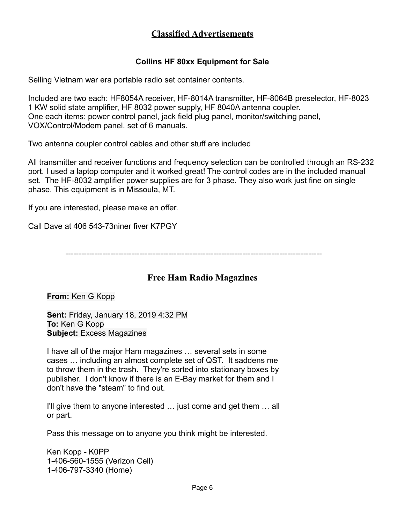## **Classified Advertisements**

#### **Collins HF 80xx Equipment for Sale**

Selling Vietnam war era portable radio set container contents.

Included are two each: HF8054A receiver, HF-8014A transmitter, HF-8064B preselector, HF-8023 1 KW solid state amplifier, HF 8032 power supply, HF 8040A antenna coupler. One each items: power control panel, jack field plug panel, monitor/switching panel, VOX/Control/Modem panel. set of 6 manuals.

Two antenna coupler control cables and other stuff are included

All transmitter and receiver functions and frequency selection can be controlled through an RS-232 port. I used a laptop computer and it worked great! The control codes are in the included manual set. The HF-8032 amplifier power supplies are for 3 phase. They also work just fine on single phase. This equipment is in Missoula, MT.

If you are interested, please make an offer.

Call Dave at 406 543-73niner fiver K7PGY

-------------------------------------------------------------------------------------------------

#### **Free Ham Radio Magazines**

**From:** Ken G Kopp

**Sent:** Friday, January 18, 2019 4:32 PM **To:** Ken G Kopp **Subject:** Excess Magazines

I have all of the major Ham magazines … several sets in some cases … including an almost complete set of QST. It saddens me to throw them in the trash. They're sorted into stationary boxes by publisher. I don't know if there is an E-Bay market for them and I don't have the "steam" to find out.

I'll give them to anyone interested … just come and get them … all or part.

Pass this message on to anyone you think might be interested.

Ken Kopp - K0PP 1-406-560-1555 (Verizon Cell) 1-406-797-3340 (Home)